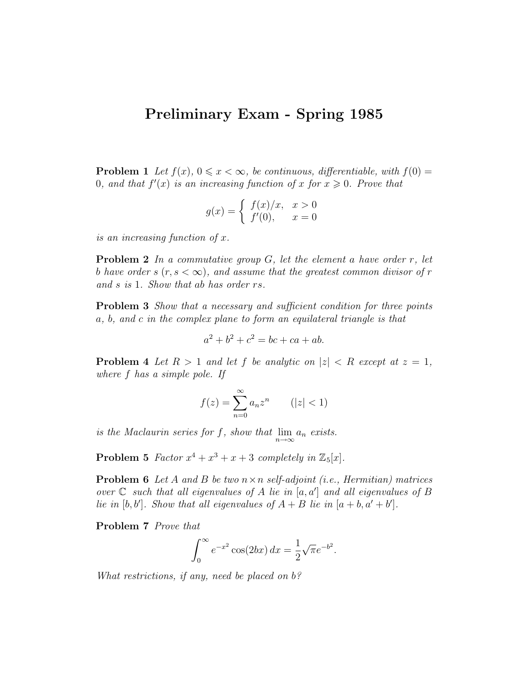## Preliminary Exam - Spring 1985

**Problem 1** Let  $f(x)$ ,  $0 \le x < \infty$ , be continuous, differentiable, with  $f(0) =$ 0, and that  $f'(x)$  is an increasing function of x for  $x \geq 0$ . Prove that

$$
g(x) = \begin{cases} f(x)/x, & x > 0 \\ f'(0), & x = 0 \end{cases}
$$

is an increasing function of x.

**Problem 2** In a commutative group  $G$ , let the element a have order  $r$ , let b have order s  $(r, s < \infty)$ , and assume that the greatest common divisor of r and s is 1. Show that ab has order rs.

**Problem 3** Show that a necessary and sufficient condition for three points a, b, and c in the complex plane to form an equilateral triangle is that

$$
a^2 + b^2 + c^2 = bc + ca + ab.
$$

**Problem 4** Let  $R > 1$  and let f be analytic on  $|z| < R$  except at  $z = 1$ , where f has a simple pole. If

$$
f(z) = \sum_{n=0}^{\infty} a_n z^n \qquad (|z| < 1)
$$

is the Maclaurin series for f, show that  $\lim_{n\to\infty} a_n$  exists.

**Problem 5** Factor  $x^4 + x^3 + x + 3$  completely in  $\mathbb{Z}_5[x]$ .

**Problem 6** Let A and B be two  $n \times n$  self-adjoint (i.e., Hermitian) matrices over  $\mathbb C$  such that all eigenvalues of A lie in  $[a, a']$  and all eigenvalues of B lie in  $[b, b']$ . Show that all eigenvalues of  $A + B$  lie in  $[a + b, a' + b']$ .

Problem 7 Prove that

$$
\int_0^{\infty} e^{-x^2} \cos(2bx) \, dx = \frac{1}{2} \sqrt{\pi} e^{-b^2}.
$$

What restrictions, if any, need be placed on  $b$ ?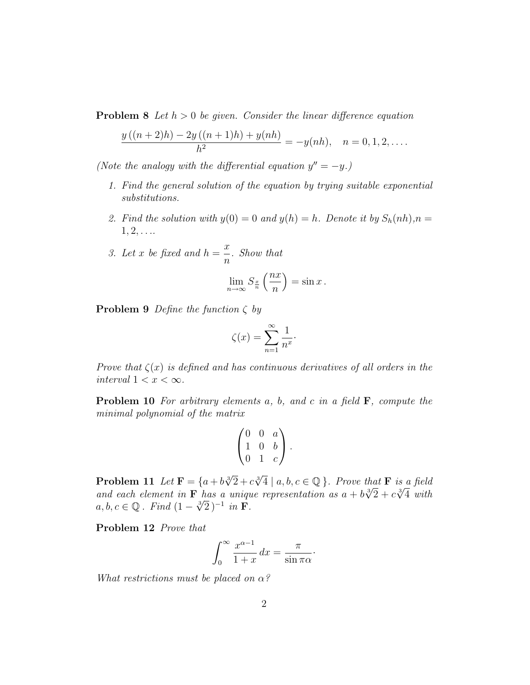**Problem 8** Let  $h > 0$  be given. Consider the linear difference equation

$$
\frac{y((n+2)h) - 2y((n+1)h) + y(nh)}{h^2} = -y(nh), \quad n = 0, 1, 2, ....
$$

(Note the analogy with the differential equation  $y'' = -y$ .)

- 1. Find the general solution of the equation by trying suitable exponential substitutions.
- 2. Find the solution with  $y(0) = 0$  and  $y(h) = h$ . Denote it by  $S_h(nh)$ ,  $n =$  $1, 2, \ldots$
- 3. Let x be fixed and  $h =$  $\overline{x}$ n . Show that

$$
\lim_{n \to \infty} S_{\frac{x}{n}} \left( \frac{nx}{n} \right) = \sin x.
$$

**Problem 9** Define the function  $\zeta$  by

$$
\zeta(x) = \sum_{n=1}^{\infty} \frac{1}{n^x}.
$$

Prove that  $\zeta(x)$  is defined and has continuous derivatives of all orders in the interval  $1 < x < \infty$ .

**Problem 10** For arbitrary elements  $a$ ,  $b$ , and  $c$  in a field  $\mathbf{F}$ , compute the minimal polynomial of the matrix

$$
\begin{pmatrix} 0 & 0 & a \\ 1 & 0 & b \\ 0 & 1 & c \end{pmatrix}.
$$

**Problem 11** Let  $\mathbf{F} = \{a+b\sqrt[3]{2}+c\sqrt[3]{4} \mid a,b,c \in \mathbb{Q}\}$ . Prove that **F** is a field **Problem 11** Let  $\mathbf{r} = \{a + b\sqrt{2} + c\sqrt{4} \mid a, b, c \in \mathbb{Q}\}$ . Prove that  $\mathbf{r}$  is a field<br>and each element in  $\mathbf{F}$  has a unique representation as  $a + b\sqrt[3]{2} + c\sqrt[3]{4}$  with ana eacn eiement in **F** nas a uniqu<br>a, b, c  $\in \mathbb{Q}$  . Find  $(1 - \sqrt[3]{2})^{-1}$  in **F**.

Problem 12 Prove that

$$
\int_0^\infty \frac{x^{\alpha-1}}{1+x} \, dx = \frac{\pi}{\sin \pi \alpha}.
$$

What restrictions must be placed on  $\alpha$ ?